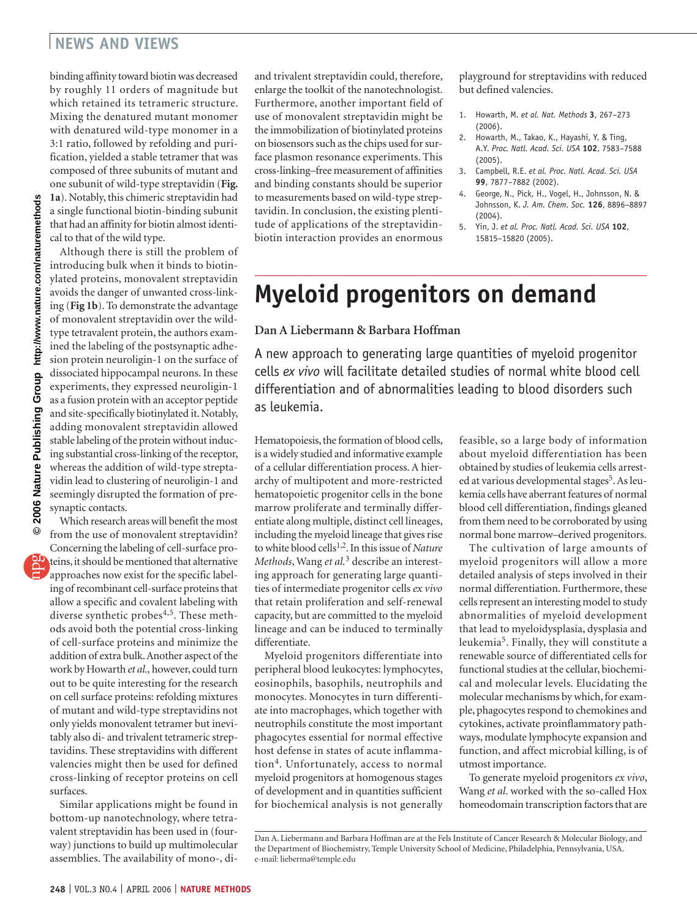## **NEWS AND VIEWS**

binding affinity toward biotin was decreased by roughly 11 orders of magnitude but which retained its tetrameric structure. Mixing the denatured mutant monomer with denatured wild-type monomer in a 3:1 ratio, followed by refolding and purification, yielded a stable tetramer that was composed of three subunits of mutant and one subunit of wild-type streptavidin (**Fig. 1a**). Notably, this chimeric streptavidin had a single functional biotin-binding subunit that had an affinity for biotin almost identical to that of the wild type.

Although there is still the problem of introducing bulk when it binds to biotinylated proteins, monovalent streptavidin avoids the danger of unwanted cross-linking (**Fig 1b**). To demonstrate the advantage of monovalent streptavidin over the wildtype tetravalent protein, the authors examined the labeling of the postsynaptic adhesion protein neuroligin-1 on the surface of dissociated hippocampal neurons. In these experiments, they expressed neuroligin-1 as a fusion protein with an acceptor peptide and site-specifically biotinylated it. Notably, adding monovalent streptavidin allowed stable labeling of the protein without inducing substantial cross-linking of the receptor, whereas the addition of wild-type streptavidin lead to clustering of neuroligin-1 and seemingly disrupted the formation of presynaptic contacts.

Which research areas will benefit the most from the use of monovalent streptavidin? Concerning the labeling of cell-surface proteins, it should be mentioned that alternative approaches now exist for the specific labeling of recombinant cell-surface proteins that allow a specific and covalent labeling with diverse synthetic probes<sup>4,5</sup>. These methods avoid both the potential cross-linking of cell-surface proteins and minimize the addition of extra bulk. Another aspect of the work by Howarth *et al.,* however, could turn out to be quite interesting for the research on cell surface proteins: refolding mixtures of mutant and wild-type streptavidins not only yields monovalent tetramer but inevitably also di- and trivalent tetrameric streptavidins. These streptavidins with different valencies might then be used for defined cross-linking of receptor proteins on cell surfaces.

Similar applications might be found in bottom-up nanotechnology, where tetravalent streptavidin has been used in (fourway) junctions to build up multimolecular assemblies. The availability of mono-, diand trivalent streptavidin could, therefore, enlarge the toolkit of the nanotechnologist. Furthermore, another important field of use of monovalent streptavidin might be the immobilization of biotinylated proteins on biosensors such as the chips used for surface plasmon resonance experiments. This cross-linking–free measurement of affinities and binding constants should be superior to measurements based on wild-type streptavidin. In conclusion, the existing plentitude of applications of the streptavidinbiotin interaction provides an enormous

playground for streptavidins with reduced but defined valencies.

- 1. Howarth, M. *et al. Nat. Methods* **3**, 267–273 (2006).
- 2. Howarth, M., Takao, K., Hayashi, Y. & Ting, A.Y. *Proc. Natl. Acad. Sci. USA* **102**, 7583–7588 (2005).
- 3. Campbell, R.E. *et al. Proc. Natl. Acad. Sci. USA* **99**, 7877–7882 (2002).
- 4. George, N., Pick, H., Vogel, H., Johnsson, N. & Johnsson, K. *J. Am. Chem. Soc.* **126**, 8896–8897 (2004).
- 5. Yin, J. *et al. Proc. Natl. Acad. Sci. USA* **102**, 15815–15820 (2005).

## **Myeloid progenitors on demand**

**Dan A Liebermann & Barbara Hoffman**

A new approach to generating large quantities of myeloid progenitor cells *ex vivo* will facilitate detailed studies of normal white blood cell differentiation and of abnormalities leading to blood disorders such as leukemia.

Hematopoiesis, the formation of blood cells, is a widely studied and informative example of a cellular differentiation process. A hierarchy of multipotent and more-restricted hematopoietic progenitor cells in the bone marrow proliferate and terminally differentiate along multiple, distinct cell lineages, including the myeloid lineage that gives rise to white blood cells1,2. In this issue of *Nature Methods*, Wang *et al.*3 describe an interesting approach for generating large quantities of intermediate progenitor cells *ex vivo* that retain proliferation and self-renewal capacity, but are committed to the myeloid lineage and can be induced to terminally differentiate.

Myeloid progenitors differentiate into peripheral blood leukocytes: lymphocytes, eosinophils, basophils, neutrophils and monocytes. Monocytes in turn differentiate into macrophages, which together with neutrophils constitute the most important phagocytes essential for normal effective host defense in states of acute inflammation4. Unfortunately, access to normal myeloid progenitors at homogenous stages of development and in quantities sufficient for biochemical analysis is not generally feasible, so a large body of information about myeloid differentiation has been obtained by studies of leukemia cells arrested at various developmental stages<sup>5</sup>. As leukemia cells have aberrant features of normal blood cell differentiation, findings gleaned from them need to be corroborated by using normal bone marrow–derived progenitors.

The cultivation of large amounts of myeloid progenitors will allow a more detailed analysis of steps involved in their normal differentiation. Furthermore, these cells represent an interesting model to study abnormalities of myeloid development that lead to myeloidysplasia, dysplasia and leukemia5. Finally, they will constitute a renewable source of differentiated cells for functional studies at the cellular, biochemical and molecular levels. Elucidating the molecular mechanisms by which, for example, phagocytes respond to chemokines and cytokines, activate proinflammatory pathways, modulate lymphocyte expansion and function, and affect microbial killing, is of utmost importance.

To generate myeloid progenitors *ex vivo*, Wang *et al*. worked with the so-called Hox homeodomain transcription factors that are

Dan A. Liebermann and Barbara Hoffman are at the Fels Institute of Cancer Research & Molecular Biology, and the Department of Biochemistry, Temple University School of Medicine, Philadelphia, Pennsylvania, USA. e-mail: lieberma@temple.edu